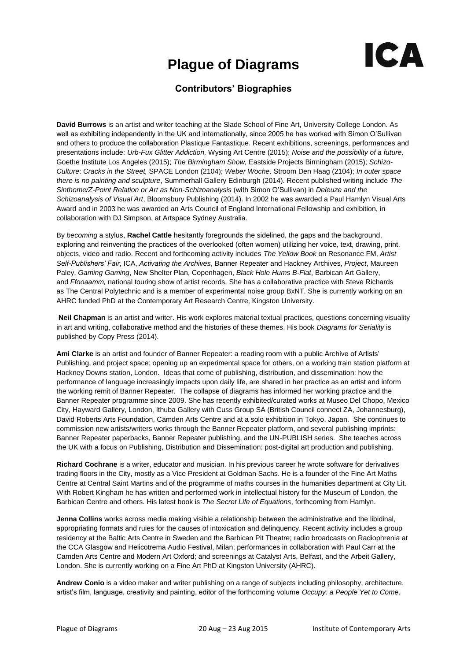## **Plague of Diagrams**



## **Contributors' Biographies**

**David Burrows** is an artist and writer teaching at the Slade School of Fine Art, University College London. As well as exhibiting independently in the UK and internationally, since 2005 he has worked with Simon O'Sullivan and others to produce the collaboration Plastique Fantastique. Recent exhibitions, screenings, performances and presentations include: *Urb-Fux Glitter Addiction,* Wysing Art Centre (2015); *Noise and the possibility of a future,*  Goethe Institute Los Angeles (2015); *The Birmingham Show,* Eastside Projects Birmingham (2015); *Schizo-Culture*: *Cracks in the Street,* SPACE London (2104); *Weber Woche,* Stroom Den Haag (2104); *In outer space there is no painting and sculpture*, Summerhall Gallery Edinburgh (2014). Recent published writing include *The Sinthome/Z-Point Relation or Art as Non-Schizoanalysis* (with Simon O'Sullivan) in *Deleuze and the Schizoanalysis of Visual Art*, Bloomsbury Publishing (2014). In 2002 he was awarded a Paul Hamlyn Visual Arts Award and in 2003 he was awarded an Arts Council of England International Fellowship and exhibition, in collaboration with DJ Simpson, at Artspace Sydney Australia.

By *becoming* a stylus, **Rachel Cattle** hesitantly foregrounds the sidelined, the gaps and the background, exploring and reinventing the practices of the overlooked (often women) utilizing her voice, text, drawing, print, objects, video and radio. Recent and forthcoming activity includes *The Yellow Book* on Resonance FM, *Artist Self-Publishers' Fair*, ICA, *Activating the Archives*, Banner Repeater and Hackney Archives, *Project*, Maureen Paley, *Gaming Gaming*, New Shelter Plan, Copenhagen, *Black Hole Hums B-Flat*, Barbican Art Gallery, and *Ffooaamm,* national touring show of artist records. She has a collaborative practice with Steve Richards as The Central Polytechnic and is a member of experimental noise group BxNT. She is currently working on an AHRC funded PhD at the Contemporary Art Research Centre, Kingston University.

**Neil Chapman** is an artist and writer. His work explores material textual practices, questions concerning visuality in art and writing, collaborative method and the histories of these themes. His book *Diagrams for Seriality* is published by Copy Press (2014).

**Ami Clarke** is an artist and founder of Banner Repeater: a reading room with a public Archive of Artists' Publishing, and project space; opening up an experimental space for others, on a working train station platform at Hackney Downs station, London. Ideas that come of publishing, distribution, and dissemination: how the performance of language increasingly impacts upon daily life, are shared in her practice as an artist and inform the working remit of Banner Repeater. The collapse of diagrams has informed her working practice and the Banner Repeater programme since 2009. She has recently exhibited/curated works at Museo Del Chopo, Mexico City, Hayward Gallery, London, Ithuba Gallery with Cuss Group SA (British Council connect ZA, Johannesburg), David Roberts Arts Foundation, Camden Arts Centre and at a solo exhibition in Tokyo, Japan. She continues to commission new artists/writers works through the Banner Repeater platform, and several publishing imprints: Banner Repeater paperbacks, Banner Repeater publishing, and the UN-PUBLISH series. She teaches across the UK with a focus on Publishing, Distribution and Dissemination: post-digital art production and publishing.

**Richard Cochrane** is a writer, educator and musician. In his previous career he wrote software for derivatives trading floors in the City, mostly as a Vice President at Goldman Sachs. He is a founder of the Fine Art Maths Centre at Central Saint Martins and of the programme of maths courses in the humanities department at City Lit. With Robert Kingham he has written and performed work in intellectual history for the Museum of London, the Barbican Centre and others. His latest book is *The Secret Life of Equations*, forthcoming from Hamlyn.

**Jenna Collins** works across media making visible a relationship between the administrative and the libidinal, appropriating formats and rules for the causes of intoxication and delinquency. Recent activity includes a group residency at the Baltic Arts Centre in Sweden and the Barbican Pit Theatre; radio broadcasts on Radiophrenia at the CCA Glasgow and Helicotrema Audio Festival, Milan; performances in collaboration with Paul Carr at the Camden Arts Centre and Modern Art Oxford; and screenings at Catalyst Arts, Belfast, and the Arbeit Gallery, London. She is currently working on a Fine Art PhD at Kingston University (AHRC).

**Andrew Conio** is a video maker and writer publishing on a range of subjects including philosophy, architecture, artist's film, language, creativity and painting, editor of the forthcoming volume *Occupy: a People Yet to Come*,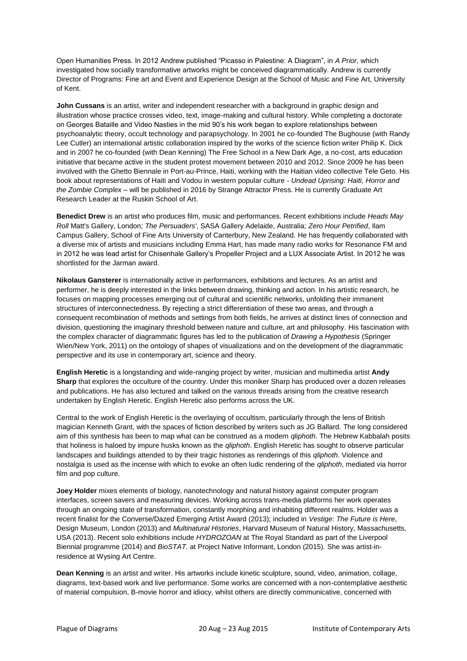Open Humanities Press. In 2012 Andrew published "Picasso in Palestine: A Diagram", in *A Prior*, which investigated how socially transformative artworks might be conceived diagrammatically. Andrew is currently Director of Programs: Fine art and Event and Experience Design at the School of Music and Fine Art, University of Kent.

**John Cussans** is an artist, writer and independent researcher with a background in graphic design and illustration whose practice crosses video, text, image-making and cultural history. While completing a doctorate on Georges Bataille and Video Nasties in the mid 90's his work began to explore relationships between psychoanalytic theory, occult technology and parapsychology. In 2001 he co-founded The Bughouse (with Randy Lee Cutler) an international artistic collaboration inspired by the works of the science fiction writer Philip K. Dick and in 2007 he co-founded (with Dean Kenning) The Free School in a New Dark Age, a no-cost, arts education initiative that became active in the student protest movement between 2010 and 2012. Since 2009 he has been involved with the Ghetto Biennale in Port-au-Prince, Haiti, working with the Haitian video collective Tele Geto. His book about representations of Haiti and Vodou in western popular culture - *Undead Uprising: Haiti, Horror and the Zombie Complex* – will be published in 2016 by Strange Attractor Press. He is currently Graduate Art Research Leader at the Ruskin School of Art.

**Benedict Drew** is an artist who produces film, music and performances. Recent exhibitions include *Heads May Roll* Matt's Gallery, London; *The Persuaders'*, SASA Gallery Adelaide, Australia; *Zero Hour Petrified*, Ilam Campus Gallery, School of Fine Arts University of Canterbury, New Zealand. He has frequently collaborated with a diverse mix of artists and musicians including Emma Hart, has made many radio works for Resonance FM and in 2012 he was lead artist for Chisenhale Gallery's Propeller Project and a LUX Associate Artist. In 2012 he was shortlisted for the Jarman award.

**Nikolaus Gansterer** is internationally active in performances, exhibitions and lectures. As an artist and performer, he is deeply interested in the links between drawing, thinking and action. In his artistic research, he focuses on mapping processes emerging out of cultural and scientific networks, unfolding their immanent structures of interconnectedness. By rejecting a strict differentiation of these two areas, and through a consequent recombination of methods and settings from both fields, he arrives at distinct lines of connection and division, questioning the imaginary threshold between nature and culture, art and philosophy. His fascination with the complex character of diagrammatic figures has led to the publication of *Drawing a Hypothesis* (Springer Wien/New York, 2011) on the ontology of shapes of visualizations and on the development of the diagrammatic perspective and its use in contemporary art, science and theory.

**English Heretic** is a longstanding and wide-ranging project by writer, musician and multimedia artist **Andy Sharp** that explores the occulture of the country. Under this moniker Sharp has produced over a dozen releases and publications. He has also lectured and talked on the various threads arising from the creative research undertaken by English Heretic. English Heretic also performs across the UK.

Central to the work of English Heretic is the overlaying of occultism, particularly through the lens of British magician Kenneth Grant, with the spaces of fiction described by writers such as JG Ballard. The long considered aim of this synthesis has been to map what can be construed as a modern *qliphoth*. The Hebrew Kabbalah posits that holiness is haloed by impure husks known as the *qliphoth*. English Heretic has sought to observe particular landscapes and buildings attended to by their tragic histories as renderings of this *qliphoth*. Violence and nostalgia is used as the incense with which to evoke an often ludic rendering of the *qliphoth*, mediated via horror film and pop culture.

**Joey Holder** mixes elements of biology, nanotechnology and natural history against computer program interfaces, screen savers and measuring devices. Working across trans-media platforms her work operates through an ongoing state of transformation, constantly morphing and inhabiting different realms. Holder was a recent finalist for the Converse/Dazed Emerging Artist Award (2013); included in *Vestige: The Future is Here*, Design Museum, London (2013) and *Multinatural Histories*, Harvard Museum of Natural History, Massachusetts, USA (2013). Recent solo exhibitions include *HYDROZOAN* at The Royal Standard as part of the Liverpool Biennial programme (2014) and *BioSTAT.* at Project Native Informant, London (2015). She was artist-inresidence at Wysing Art Centre.

**Dean Kenning** is an artist and writer. His artworks include kinetic sculpture, sound, video, animation, collage, diagrams, text-based work and live performance. Some works are concerned with a non-contemplative aesthetic of material compulsion, B-movie horror and idiocy, whilst others are directly communicative, concerned with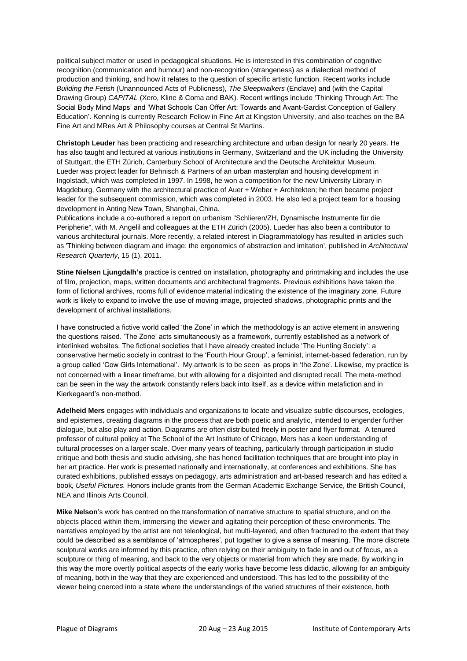political subject matter or used in pedagogical situations. He is interested in this combination of cognitive recognition (communication and humour) and non-recognition (strangeness) as a dialectical method of production and thinking, and how it relates to the question of specific artistic function. Recent works include *Building the Fetish* (Unannounced Acts of Publicness), *The Sleepwalkers* (Enclave) and (with the Capital Drawing Group) *CAPITAL* (Xero, Kline & Coma and BAK). Recent writings include 'Thinking Through Art: The Social Body Mind Maps' and 'What Schools Can Offer Art: Towards and Avant-Gardist Conception of Gallery Education'. Kenning is currently Research Fellow in Fine Art at Kingston University, and also teaches on the BA Fine Art and MRes Art & Philosophy courses at Central St Martins.

**Christoph Leuder** has been practicing and researching architecture and urban design for nearly 20 years. He has also taught and lectured at various institutions in Germany, Switzerland and the UK including the University of Stuttgart, the ETH Zürich, Canterbury School of Architecture and the Deutsche Architektur Museum. Lueder was project leader for Behnisch & Partners of an urban masterplan and housing development in Ingolstadt, which was completed in 1997. In 1998, he won a competition for the new University Library in Magdeburg, Germany with the architectural practice of Auer + Weber + Architekten; he then became project leader for the subsequent commission, which was completed in 2003. He also led a project team for a housing development in Anting New Town, Shanghai, China.

Publications include a co-authored a report on urbanism "Schlieren/ZH, Dynamische Instrumente für die Peripherie", with M. Angelil and colleagues at the ETH Zürich (2005). Lueder has also been a contributor to various architectural journals. More recently, a related interest in Diagrammatology has resulted in articles such as 'Thinking between diagram and image: the ergonomics of abstraction and imitation', published in *Architectural Research Quarterly*, 15 (1), 2011.

**Stine Nielsen Ljungdalh's** practice is centred on installation, photography and printmaking and includes the use of film, projection, maps, written documents and architectural fragments. Previous exhibitions have taken the form of fictional archives, rooms full of evidence material indicating the existence of the imaginary zone. Future work is likely to expand to involve the use of moving image, projected shadows, photographic prints and the development of archival installations.

I have constructed a fictive world called 'the Zone' in which the methodology is an active element in answering the questions raised. 'The Zone' acts simultaneously as a framework, currently established as a network of interlinked websites. The fictional societies that I have already created include 'The Hunting Society': a conservative hermetic society in contrast to the 'Fourth Hour Group', a feminist, internet-based federation, run by a group called 'Cow Girls International'. My artwork is to be seen as props in 'the Zone'. Likewise, my practice is not concerned with a linear timeframe, but with allowing for a disjointed and disrupted recall. The meta-method can be seen in the way the artwork constantly refers back into itself, as a device within metafiction and in Kierkegaard's non-method.

**Adelheid Mers** engages with individuals and organizations to locate and visualize subtle discourses, ecologies, and epistemes, creating diagrams in the process that are both poetic and analytic, intended to engender further dialogue, but also play and action. Diagrams are often distributed freely in poster and flyer format. A tenured professor of cultural policy at The School of the Art Institute of Chicago, Mers has a keen understanding of cultural processes on a larger scale. Over many years of teaching, particularly through participation in studio critique and both thesis and studio advising, she has honed facilitation techniques that are brought into play in her art practice. Her work is presented nationally and internationally, at conferences and exhibitions. She has curated exhibitions, published essays on pedagogy, arts administration and art-based research and has edited a book*, Useful Pictures.* Honors include grants from the German Academic Exchange Service, the British Council, NEA and Illinois Arts Council.

**Mike Nelson**'s work has centred on the transformation of narrative structure to spatial structure, and on the objects placed within them, immersing the viewer and agitating their perception of these environments. The narratives employed by the artist are not teleological, but multi-layered, and often fractured to the extent that they could be described as a semblance of 'atmospheres', put together to give a sense of meaning. The more discrete sculptural works are informed by this practice, often relying on their ambiguity to fade in and out of focus, as a sculpture or thing of meaning, and back to the very objects or material from which they are made. By working in this way the more overtly political aspects of the early works have become less didactic, allowing for an ambiguity of meaning, both in the way that they are experienced and understood. This has led to the possibility of the viewer being coerced into a state where the understandings of the varied structures of their existence, both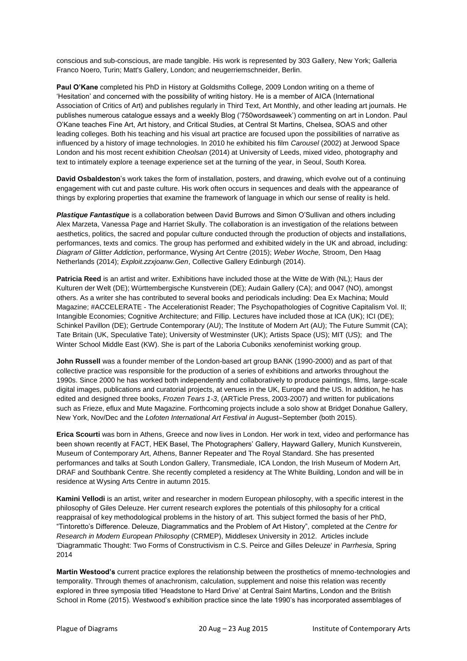conscious and sub-conscious, are made tangible. His work is represented by 303 Gallery, New York; Galleria Franco Noero, Turin; Matt's Gallery, London; and neugerriemschneider, Berlin.

**Paul O'Kane** completed his PhD in History at Goldsmiths College, 2009 London writing on a theme of 'Hesitation' and concerned with the possibility of writing history. He is a member of AICA (International Association of Critics of Art) and publishes regularly in Third Text, Art Monthly, and other leading art journals. He publishes numerous catalogue essays and a weekly Blog ('750wordsaweek') commenting on art in London. Paul O'Kane teaches Fine Art, Art history, and Critical Studies, at Central St Martins, Chelsea, SOAS and other leading colleges. Both his teaching and his visual art practice are focused upon the possibilities of narrative as influenced by a history of image technologies. In 2010 he exhibited his film *Carousel* (2002) at Jerwood Space London and his most recent exhibition *Cheolsan* (2014) at University of Leeds, mixed video, photography and text to intimately explore a teenage experience set at the turning of the year, in Seoul, South Korea.

**David Osbaldeston**'s work takes the form of installation, posters, and drawing, which evolve out of a continuing engagement with cut and paste culture. His work often occurs in sequences and deals with the appearance of things by exploring properties that examine the framework of language in which our sense of reality is held.

*Plastique Fantastique* is a collaboration between David Burrows and Simon O'Sullivan and others including Alex Marzeta, Vanessa Page and Harriet Skully. The collaboration is an investigation of the relations between aesthetics, politics, the sacred and popular culture conducted through the production of objects and installations, performances, texts and comics. The group has performed and exhibited widely in the UK and abroad, including: *Diagram of Glitter Addiction*, performance, Wysing Art Centre (2015); *Weber Woche,* Stroom, Den Haag Netherlands (2014); *Exploit.zzxjoanw.Gen*, Collective Gallery Edinburgh (2014).

**Patricia Reed** is an artist and writer. Exhibitions have included those at the Witte de With (NL); Haus der Kulturen der Welt (DE); Württembergische Kunstverein (DE); Audain Gallery (CA); and 0047 (NO), amongst others. As a writer she has contributed to several books and periodicals including: Dea Ex Machina; Mould Magazine; #ACCELERATE - The Accelerationist Reader; The Psychopathologies of Cognitive Capitalism Vol. II; Intangible Economies; Cognitive Architecture; and Fillip. Lectures have included those at ICA (UK); ICI (DE); Schinkel Pavillon (DE); Gertrude Contemporary (AU); The Institute of Modern Art (AU); The Future Summit (CA); Tate Britain (UK, Speculative Tate); University of Westminster (UK); Artists Space (US); MIT (US); and The Winter School Middle East (KW). She is part of the Laboria Cuboniks xenofeminist working group.

**John Russell** was a founder member of the London-based art group BANK (1990-2000) and as part of that collective practice was responsible for the production of a series of exhibitions and artworks throughout the 1990s. Since 2000 he has worked both independently and collaboratively to produce paintings, films, large-scale digital images, publications and curatorial projects, at venues in the UK, Europe and the US. In addition, he has edited and designed three books, *Frozen Tears 1-3*, (ARTicle Press, 2003-2007) and written for publications such as Frieze, eflux and Mute Magazine. Forthcoming projects include a solo show at Bridget Donahue Gallery, New York, Nov/Dec and the *Lofoten International Art Festival in* August–September (both 2015).

**Erica Scourti** was born in Athens, Greece and now lives in London. Her work in text, video and performance has been shown recently at FACT, HEK Basel, The Photographers' Gallery, Hayward Gallery, Munich Kunstverein, Museum of Contemporary Art, Athens, Banner Repeater and The Royal Standard. She has presented performances and talks at South London Gallery, Transmediale, ICA London, the Irish Museum of Modern Art, DRAF and Southbank Centre. She recently completed a residency at The White Building, London and will be in residence at Wysing Arts Centre in autumn 2015.

**Kamini Vellodi** is an artist, writer and researcher in modern European philosophy, with a specific interest in the philosophy of Giles Deleuze. Her current research explores the potentials of this philosophy for a critical reappraisal of key methodological problems in the history of art. This subject formed the basis of her PhD, "Tintoretto's Difference. Deleuze, Diagrammatics and the Problem of Art History", completed at the *Centre for Research in Modern European Philosophy* (CRMEP), Middlesex University in 2012. Articles include 'Diagrammatic Thought: Two Forms of Constructivism in C.S. Peirce and Gilles Deleuze' in *Parrhesia*, Spring 2014

**Martin Westood's** current practice explores the relationship between the prosthetics of mnemo-technologies and temporality. Through themes of anachronism, calculation, supplement and noise this relation was recently explored in three symposia titled 'Headstone to Hard Drive' at Central Saint Martins, London and the British School in Rome (2015). Westwood's exhibition practice since the late 1990's has incorporated assemblages of